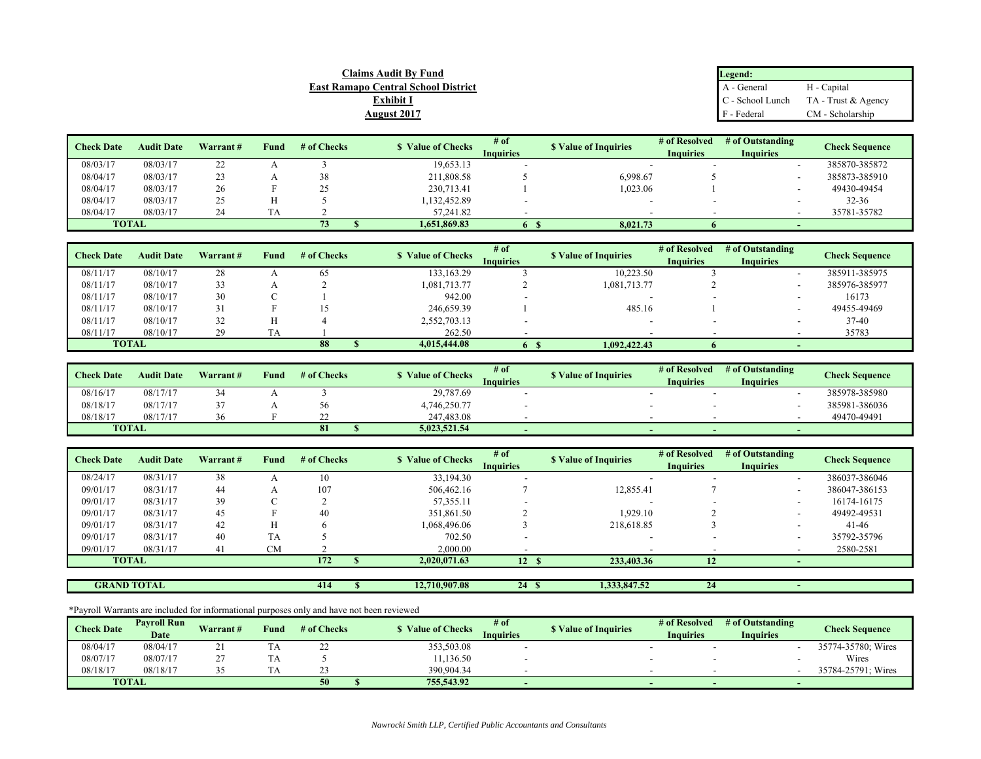| <b>Claims Audit By Fund</b>                | Legend:     |                                                 |  |
|--------------------------------------------|-------------|-------------------------------------------------|--|
| <b>East Ramapo Central School District</b> | A - General | H - Capital                                     |  |
| Exhibit I                                  |             | $\mathbb{C}$ - School Lunch TA - Trust & Agency |  |
| <b>August 2017</b>                         | F - Federal | CM - Scholarship                                |  |

| <b>Check Date</b> | <b>Audit Date</b> |          |      | # of Checks       | <b>S</b> Value of Checks | # of      | <b>S</b> Value of Inquiries | # of Resolved    | # of Outstanding |                       |
|-------------------|-------------------|----------|------|-------------------|--------------------------|-----------|-----------------------------|------------------|------------------|-----------------------|
|                   |                   | Warrant# | Fund |                   |                          | Inquiries |                             | <b>Inquiries</b> | <b>Inquiries</b> | <b>Check Sequence</b> |
| 08/03/17          | 08/03/17          | ∠∠       |      |                   | 19,653.13                |           |                             |                  |                  | 385870-385872         |
| 08/04/17          | 08/03/17          |          |      | 38                | 211,808.58               |           | 6,998.67                    |                  |                  | 385873-385910         |
| 08/04/17          | 08/03/17          | 26       |      | ጎና<br><u>، ، </u> | 230,713.41               |           | 1.023.06                    |                  |                  | 49430-49454           |
| 08/04/17          | 08/03/17          | 25       | H    |                   | 1,132,452.89             |           |                             |                  |                  | $32 - 36$             |
| 08/04/17          | 08/03/17          |          | TA   |                   | 57,241.82                |           |                             |                  |                  | 35781-35782           |
| <b>TOTAL</b>      |                   |          |      | 73                | 1.651.869.83             | 6.        | 8.021.73                    |                  |                  |                       |

| <b>Check Date</b> | <b>Audit Date</b> | Warrant# | Fund | # of Checks | <b>S</b> Value of Checks | # of<br><b>Inquiries</b> | <b>S</b> Value of Inquiries | # of Resolved<br><b>Inquiries</b> | # of Outstanding<br><b>Inquiries</b> | <b>Check Sequence</b> |
|-------------------|-------------------|----------|------|-------------|--------------------------|--------------------------|-----------------------------|-----------------------------------|--------------------------------------|-----------------------|
| 08/11/17          | 08/10/17          | 28       |      | 65          | 133, 163. 29             |                          | 10,223.50                   |                                   |                                      | 385911-385975         |
| 08/11/17          | 08/10/17          | 33       |      |             | 1,081,713.77             |                          | 1,081,713.77                |                                   |                                      | 385976-385977         |
| 08/11/17          | 08/10/17          | 30       |      |             | 942.00                   |                          |                             |                                   |                                      | 16173                 |
| 08/11/17          | 08/10/17          |          |      |             | 246,659.39               |                          | 485.16                      |                                   |                                      | 49455-49469           |
| 08/11/17          | 08/10/17          | 32       | н    |             | 2,552,703.13             |                          |                             |                                   |                                      | $37-40$               |
| 08/11/17          | 08/10/17          | 29       |      |             | 262.50                   |                          |                             |                                   |                                      | 35783                 |
| <b>TOTAL</b>      |                   |          |      | 88          | 4,015,444.08             |                          | 1,092,422.43                |                                   |                                      |                       |

| <b>Check Date</b> | <b>Audit Date</b> | Warrant# | Fund | # of Checks | <b>S</b> Value of Checks | # of<br><b>Inquiries</b> | <b>S</b> Value of Inquiries | # of Resolved<br><b>Inquiries</b> | # of Outstanding<br><b>Inquiries</b> | <b>Check Sequence</b> |  |
|-------------------|-------------------|----------|------|-------------|--------------------------|--------------------------|-----------------------------|-----------------------------------|--------------------------------------|-----------------------|--|
| 08/16/17          | 08/17/17          |          |      |             | 29,787.69                |                          |                             |                                   |                                      | 385978-385980         |  |
| 08/18/17          | 08/17/17          |          |      | 56          | 4,746,250.77             |                          |                             |                                   |                                      | 385981-386036         |  |
| 08/18/17          | 08/17/17          |          |      |             | 247,483.08               |                          |                             |                                   |                                      | 49470-49491           |  |
| <b>TOTAL</b>      |                   |          |      | 81          | 5.023.521.54             |                          |                             |                                   |                                      |                       |  |

| <b>Check Date</b> | <b>Audit Date</b>  | Warrant# | Fund      | # of Checks | <b>S</b> Value of Checks | # of             | <b>S</b> Value of Inquiries | # of Resolved    | # of Outstanding         | <b>Check Sequence</b> |
|-------------------|--------------------|----------|-----------|-------------|--------------------------|------------------|-----------------------------|------------------|--------------------------|-----------------------|
|                   |                    |          |           |             |                          | <b>Inquiries</b> |                             | <b>Inquiries</b> | <b>Inquiries</b>         |                       |
| 08/24/17          | 08/31/17           | 38       |           | 10          | 33,194.30                |                  | $\overline{\phantom{0}}$    |                  | $\overline{\phantom{a}}$ | 386037-386046         |
| 09/01/17          | 08/31/17           | 44       | A         | 107         | 506,462.16               |                  | 12,855.41                   |                  | $\sim$                   | 386047-386153         |
| 09/01/17          | 08/31/17           | 39       |           |             | 57,355.11                |                  |                             |                  | $\overline{\phantom{0}}$ | 16174-16175           |
| 09/01/17          | 08/31/17           | 45       |           | 40          | 351,861.50               |                  | 1.929.10                    |                  | $\overline{\phantom{a}}$ | 49492-49531           |
| 09/01/17          | 08/31/17           | 42       | Н         |             | 1,068,496.06             |                  | 218,618.85                  |                  | $\overline{\phantom{a}}$ | $41 - 46$             |
| 09/01/17          | 08/31/17           | 40       | TA        |             | 702.50                   |                  | $\overline{\phantom{0}}$    |                  | $\overline{\phantom{0}}$ | 35792-35796           |
| 09/01/17          | 08/31/17           | 41       | <b>CM</b> |             | 2,000.00                 |                  |                             |                  |                          | 2580-2581             |
|                   | <b>TOTAL</b>       |          |           | 172         | 2,020,071.63             | 12S              | 233,403.36                  | 12               |                          |                       |
|                   |                    |          |           |             |                          |                  |                             |                  |                          |                       |
|                   | <b>GRAND TOTAL</b> |          |           | 414         | 12,710,907.08            | 24S              | 1,333,847.52                | 24               |                          |                       |

\*Payroll Warrants are included for informational purposes only and have not been reviewed

| <b>Check Date</b> | <b>Pavroll Run</b> | Warrant# | Vund | # of Checks | Value of Checks | # of             | <b>S</b> Value of Inquiries | # of Resolved    | # of Outstanding | <b>Check Sequence</b> |
|-------------------|--------------------|----------|------|-------------|-----------------|------------------|-----------------------------|------------------|------------------|-----------------------|
|                   | <b>Date</b>        |          |      |             |                 | <b>Inquiries</b> |                             | <b>Inquiries</b> | Inquiries        |                       |
| 08/04/17          | 08/04/17           |          | 1 A  | <u>_</u>    | 353,503.08      |                  |                             |                  |                  | 35774-35780; Wires    |
| 08/07/17          | 08/07/17           |          | 1 A  |             | 11,136.50       |                  |                             |                  |                  | Wires                 |
| 08/18/17          | 08/18/17           |          |      |             | 390,904.34      |                  |                             |                  |                  | 35784-25791: Wires    |
|                   | <b>TOTAL</b>       |          |      | 50          | 755,543.92      |                  |                             |                  |                  |                       |